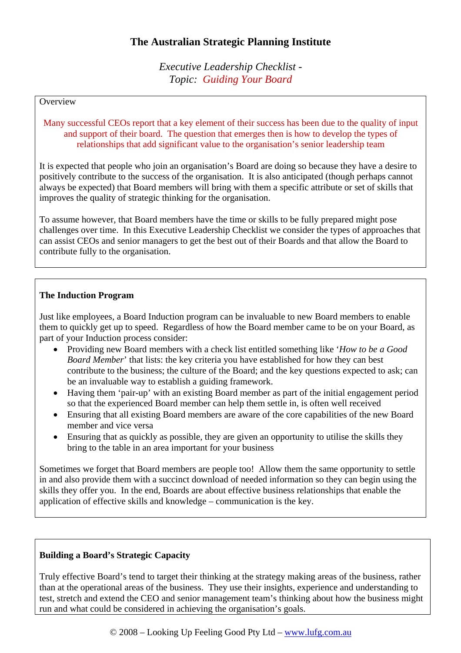# **The Australian Strategic Planning Institute**

*Executive Leadership Checklist - Topic: Guiding Your Board* 

#### **Overview**

Many successful CEOs report that a key element of their success has been due to the quality of input and support of their board. The question that emerges then is how to develop the types of relationships that add significant value to the organisation's senior leadership team

It is expected that people who join an organisation's Board are doing so because they have a desire to positively contribute to the success of the organisation. It is also anticipated (though perhaps cannot always be expected) that Board members will bring with them a specific attribute or set of skills that improves the quality of strategic thinking for the organisation.

To assume however, that Board members have the time or skills to be fully prepared might pose challenges over time. In this Executive Leadership Checklist we consider the types of approaches that can assist CEOs and senior managers to get the best out of their Boards and that allow the Board to contribute fully to the organisation.

#### **The Induction Program**

Just like employees, a Board Induction program can be invaluable to new Board members to enable them to quickly get up to speed. Regardless of how the Board member came to be on your Board, as part of your Induction process consider:

- Providing new Board members with a check list entitled something like '*How to be a Good Board Member*' that lists: the key criteria you have established for how they can best contribute to the business; the culture of the Board; and the key questions expected to ask; can be an invaluable way to establish a guiding framework.
- Having them 'pair-up' with an existing Board member as part of the initial engagement period so that the experienced Board member can help them settle in, is often well received
- Ensuring that all existing Board members are aware of the core capabilities of the new Board member and vice versa
- Ensuring that as quickly as possible, they are given an opportunity to utilise the skills they bring to the table in an area important for your business

Sometimes we forget that Board members are people too! Allow them the same opportunity to settle in and also provide them with a succinct download of needed information so they can begin using the skills they offer you. In the end, Boards are about effective business relationships that enable the application of effective skills and knowledge – communication is the key.

### **Building a Board's Strategic Capacity**

Truly effective Board's tend to target their thinking at the strategy making areas of the business, rather than at the operational areas of the business. They use their insights, experience and understanding to test, stretch and extend the CEO and senior management team's thinking about how the business might run and what could be considered in achieving the organisation's goals.